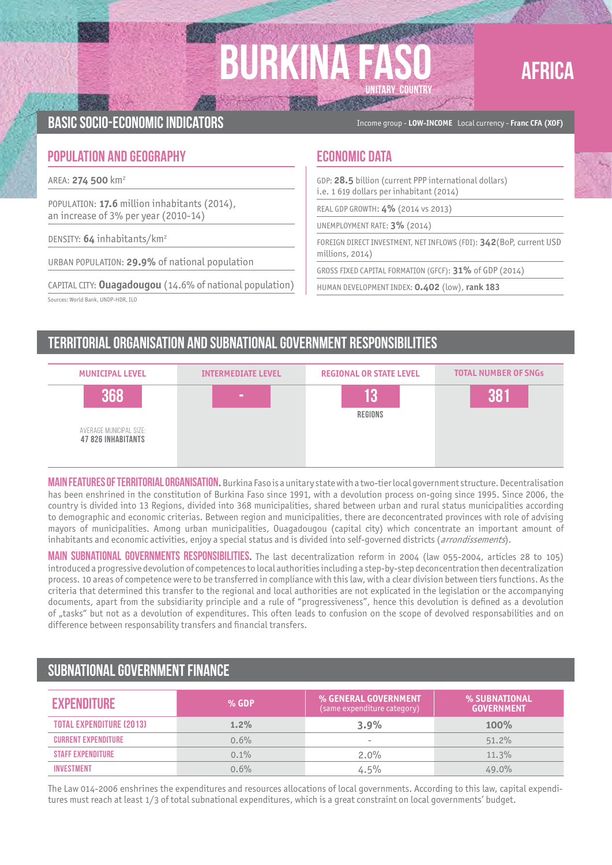# **BURKIN UNITARY COUNTRY**



Basic socio-economic indicators Income group - **LOW-INCOME** Local currency - **Franc CFA (XOF)**

### **POPULATION AND GEOGRAPHY ECONOMIC DATA**

AREA: **274 500** km2

POPULATION: **17.6** million inhabitants (2014), an increase of 3% per year (2010-14)

DENSITY: **64** inhabitants/km2

URBAN POPULATION: **29.9%** of national population

CAPITAL CITY: **Ouagadougou** (14.6% of national population) Sources: World Bank, UNDP-HDR, ILO

GDP: **28.5** billion (current PPP international dollars) i.e. 1 619 dollars per inhabitant (2014)

REAL GDP GROWTH: **4%** (2014 vs 2013)

UNEMPLOYMENT RATE: **3%** (2014)

FOREIGN DIRECT INVESTMENT, NET INFLOWS (FDI): **342**(BoP, current USD millions, 2014)

GROSS FIXED CAPITAL FORMATION (GFCF): **31%** of GDP (2014)

HUMAN DEVELOPMENT INDEX: **0.402** (low), **rank 183**

### Territorial organisation and subnational government responsibilities



**MAIN FEATURES OF TERRITORIAL ORGANISATION.** Burkina Faso is a unitary state with a two-tier local government structure. Decentralisation has been enshrined in the constitution of Burkina Faso since 1991, with a devolution process on-going since 1995. Since 2006, the country is divided into 13 Regions, divided into 368 municipalities, shared between urban and rural status municipalities according to demographic and economic criterias. Between region and municipalities, there are deconcentrated provinces with role of advising mayors of municipalities. Among urban municipalities, Ouagadougou (capital city) which concentrate an important amount of inhabitants and economic activities, enjoy a special status and is divided into self-qoverned districts (arrondissements).

Main subnational governments responsibilities**.** The last decentralization reform in 2004 (law 055-2004, articles 28 to 105) introduced a progressive devolution of competences to local authorities including a step-by-step deconcentration then decentralization process. 10 areas of competence were to be transferred in compliance with this law, with a clear division between tiers functions. As the criteria that determined this transfer to the regional and local authorities are not explicated in the legislation or the accompanying documents, apart from the subsidiarity principle and a rule of "progressiveness", hence this devolution is defined as a devolution of "tasks" but not as a devolution of expenditures. This often leads to confusion on the scope of devolved responsabilities and on difference between responsability transfers and financial transfers.

## Subnational government finance

| <b>EXPENDITURE</b>              | $%$ GDP | % GENERAL GOVERNMENT<br>(same expenditure category) | % SUBNATIONAL<br><b>GOVERNMENT</b> |
|---------------------------------|---------|-----------------------------------------------------|------------------------------------|
| <b>TOTAL EXPENDITURE (2013)</b> | $1.2\%$ | 3.9%                                                | 100%                               |
| <b>CURRENT EXPENDITURE</b>      | $0.6\%$ | $\overline{\phantom{a}}$                            | 51.2%                              |
| <b>STAFF EXPENDITURE</b>        | $0.1\%$ | $2.0\%$                                             | 11.3%                              |
| <b>INVESTMENT</b>               | 0.6%    | 4.5%                                                | 49.0%                              |

The Law 014-2006 enshrines the expenditures and resources allocations of local governments. According to this law, capital expenditures must reach at least 1/3 of total subnational expenditures, which is a great constraint on local governments' budget.